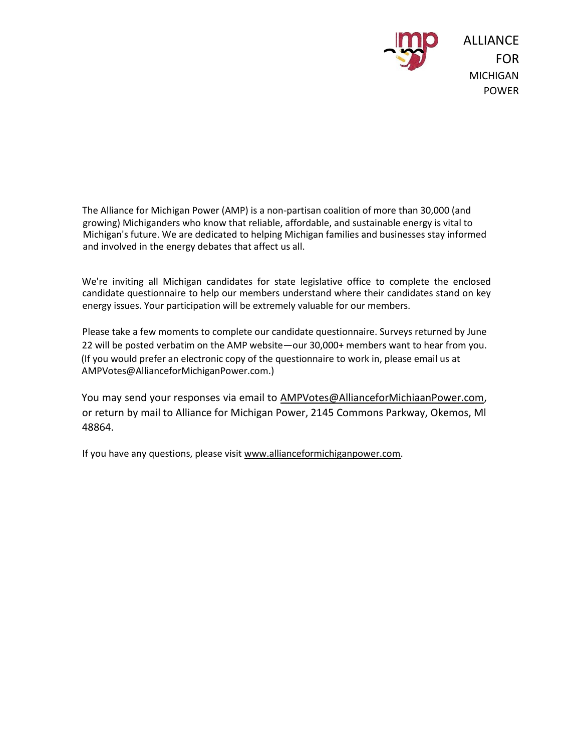

The Alliance for Michigan Power (AMP) is a non-partisan coalition of more than 30,000 (and growing) Michiganders who know that reliable, affordable, and sustainable energy is vital to Michigan's future. We are dedicated to helping Michigan families and businesses stay informed and involved in the energy debates that affect us all.

We're inviting all Michigan candidates for state legislative office to complete the enclosed candidate questionnaire to help our members understand where their candidates stand on key energy issues. Your participation will be extremely valuable for our members.

Please take a few moments to complete our candidate questionnaire. Surveys returned by June 22 will be posted verbatim on the AMP website—our 30,000+ members want to hear from you. (If you would prefer an electronic copy of the questionnaire to work in, please email us at AMPVotes@AllianceforMichiganPower.com.)

You may send your responses via email to AMPVotes@AllianceforMichiaanPower.com, or return by mail to Alliance for Michigan Power, 2145 Commons Parkway, Okemos, Ml 48864.

If you have any questions, please visit www.allianceformichiganpower.com.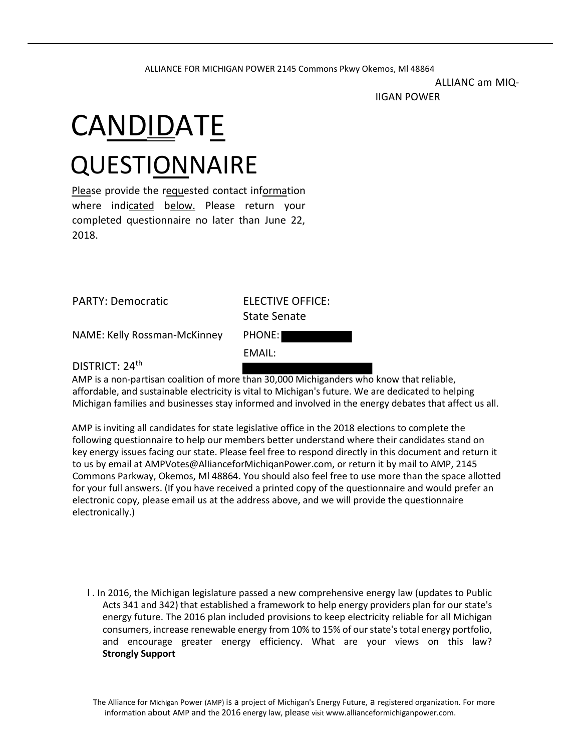## ALLIANCE FOR MICHIGAN POWER 2145 Commons Pkwy Okemos, Ml 48864

ALLIANC am MIQ-

IIGAN POWER

## CA<u>NDID</u>AT<u>E</u> **QUESTIONNAIRE**

Please provide the requested contact information where indicated below. Please return your completed questionnaire no later than June 22, 2018.

|  | <b>PARTY: Democratic</b> |
|--|--------------------------|
|--|--------------------------|

**ELECTIVE OFFICE:** State Senate

NAME: Kelly Rossman-McKinney PHONE:

EMAIL:

DISTRICT: 24<sup>th</sup>

AMP is a non-partisan coalition of more than 30,000 Michiganders who know that reliable, affordable, and sustainable electricity is vital to Michigan's future. We are dedicated to helping Michigan families and businesses stay informed and involved in the energy debates that affect us all.

AMP is inviting all candidates for state legislative office in the 2018 elections to complete the following questionnaire to help our members better understand where their candidates stand on key energy issues facing our state. Please feel free to respond directly in this document and return it to us by email at AMPVotes@AlIianceforMichiqanPower.com, or return it by mail to AMP, 2145 Commons Parkway, Okemos, Ml 48864. You should also feel free to use more than the space allotted for your full answers. (If you have received a printed copy of the questionnaire and would prefer an electronic copy, please email us at the address above, and we will provide the questionnaire electronically.)

l . In 2016, the Michigan legislature passed a new comprehensive energy law (updates to Public Acts 341 and 342) that established a framework to help energy providers plan for our state's energy future. The 2016 plan included provisions to keep electricity reliable for all Michigan consumers, increase renewable energy from 10% to 15% of our state's total energy portfolio, and encourage greater energy efficiency. What are your views on this law? **Strongly Support**

The Alliance for Michigan Power (AMP) is a project of Michigan's Energy Future, a registered organization. For more information about AMP and the 2016 energy law, please visit www.allianceformichiganpower.com.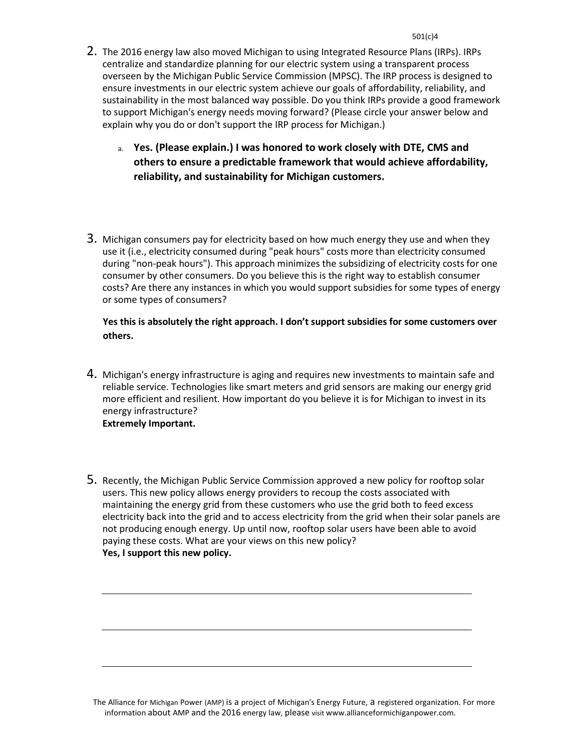- 2. The 2016 energy law also moved Michigan to using Integrated Resource Plans (IRPs). IRPs centralize and standardize planning for our electric system using a transparent process overseen by the Michigan Public Service Commission (MPSC). The IRP process is designed to ensure investments in our electric system achieve our goals of affordability, reliability, and sustainability in the most balanced way possible. Do you think IRPs provide a good framework to support Michigan's energy needs moving forward? (Please circle your answer below and explain why you do or don't support the IRP process for Michigan.)
	- a. **Yes. (Please explain.) I was honored to work closely with DTE, CMS and others to ensure a predictable framework that would achieve affordability, reliability, and sustainability for Michigan customers.**
- 3. Michigan consumers pay for electricity based on how much energy they use and when they use it (i.e., electricity consumed during "peak hours" costs more than electricity consumed during "non-peak hours"). This approach minimizes the subsidizing of electricity costs for one consumer by other consumers. Do you believe this is the right way to establish consumer costs? Are there any instances in which you would support subsidies for some types of energy or some types of consumers?

## **Yes this is absolutely the right approach. I don't support subsidies for some customers over others.**

- 4. Michigan's energy infrastructure is aging and requires new investments to maintain safe and reliable service. Technologies like smart meters and grid sensors are making our energy grid more efficient and resilient. How important do you believe it is for Michigan to invest in its energy infrastructure? **Extremely Important.**
- 5. Recently, the Michigan Public Service Commission approved a new policy for rooftop solar users. This new policy allows energy providers to recoup the costs associated with maintaining the energy grid from these customers who use the grid both to feed excess electricity back into the grid and to access electricity from the grid when their solar panels are not producing enough energy. Up until now, rooftop solar users have been able to avoid paying these costs. What are your views on this new policy? **Yes, I support this new policy.**

The Alliance for Michigan Power (AMP) is a project of Michigan's Energy Future, a registered organization. For more information about AMP and the 2016 energy law, please visit www.allianceformichiganpower.com.